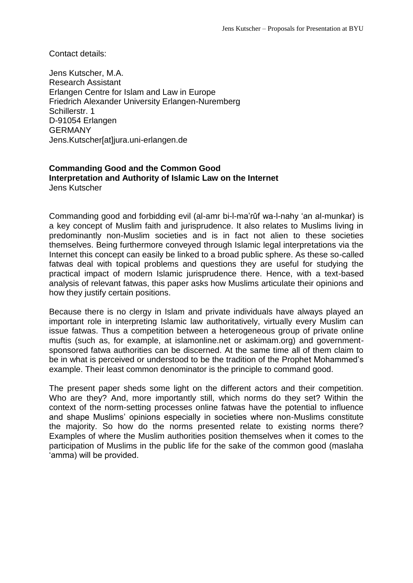Contact details:

Jens Kutscher, M.A. Research Assistant Erlangen Centre for Islam and Law in Europe Friedrich Alexander University Erlangen-Nuremberg Schillerstr. 1 D-91054 Erlangen GERMANY Jens.Kutscher[at]jura.uni-erlangen.de

## **Commanding Good and the Common Good Interpretation and Authority of Islamic Law on the Internet** Jens Kutscher

Commanding good and forbidding evil (al-amr bi-l-ma'rûf wa-l-nahy 'an al-munkar) is a key concept of Muslim faith and jurisprudence. It also relates to Muslims living in predominantly non-Muslim societies and is in fact not alien to these societies themselves. Being furthermore conveyed through Islamic legal interpretations via the Internet this concept can easily be linked to a broad public sphere. As these so-called fatwas deal with topical problems and questions they are useful for studying the practical impact of modern Islamic jurisprudence there. Hence, with a text-based analysis of relevant fatwas, this paper asks how Muslims articulate their opinions and how they justify certain positions.

Because there is no clergy in Islam and private individuals have always played an important role in interpreting Islamic law authoritatively, virtually every Muslim can issue fatwas. Thus a competition between a heterogeneous group of private online muftis (such as, for example, at islamonline.net or askimam.org) and governmentsponsored fatwa authorities can be discerned. At the same time all of them claim to be in what is perceived or understood to be the tradition of the Prophet Mohammed's example. Their least common denominator is the principle to command good.

The present paper sheds some light on the different actors and their competition. Who are they? And, more importantly still, which norms do they set? Within the context of the norm-setting processes online fatwas have the potential to influence and shape Muslims' opinions especially in societies where non-Muslims constitute the majority. So how do the norms presented relate to existing norms there? Examples of where the Muslim authorities position themselves when it comes to the participation of Muslims in the public life for the sake of the common good (maslaha 'amma) will be provided.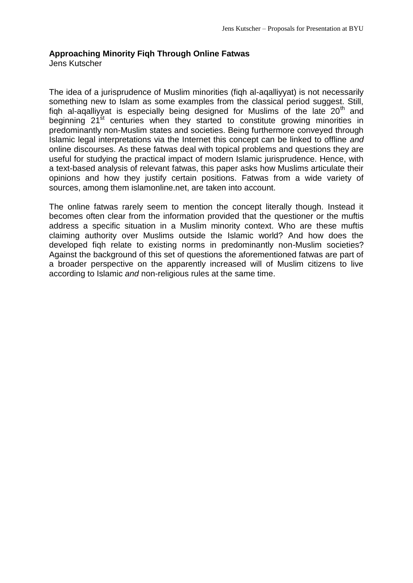## **Approaching Minority Fiqh Through Online Fatwas**

Jens Kutscher

The idea of a jurisprudence of Muslim minorities (fiqh al-aqalliyyat) is not necessarily something new to Islam as some examples from the classical period suggest. Still, figh al-agalliyyat is especially being designed for Muslims of the late  $20<sup>th</sup>$  and beginning  $21<sup>st</sup>$  centuries when they started to constitute growing minorities in predominantly non-Muslim states and societies. Being furthermore conveyed through Islamic legal interpretations via the Internet this concept can be linked to offline *and* online discourses. As these fatwas deal with topical problems and questions they are useful for studying the practical impact of modern Islamic jurisprudence. Hence, with a text-based analysis of relevant fatwas, this paper asks how Muslims articulate their opinions and how they justify certain positions. Fatwas from a wide variety of sources, among them islamonline.net, are taken into account.

The online fatwas rarely seem to mention the concept literally though. Instead it becomes often clear from the information provided that the questioner or the muftis address a specific situation in a Muslim minority context. Who are these muftis claiming authority over Muslims outside the Islamic world? And how does the developed fiqh relate to existing norms in predominantly non-Muslim societies? Against the background of this set of questions the aforementioned fatwas are part of a broader perspective on the apparently increased will of Muslim citizens to live according to Islamic *and* non-religious rules at the same time.